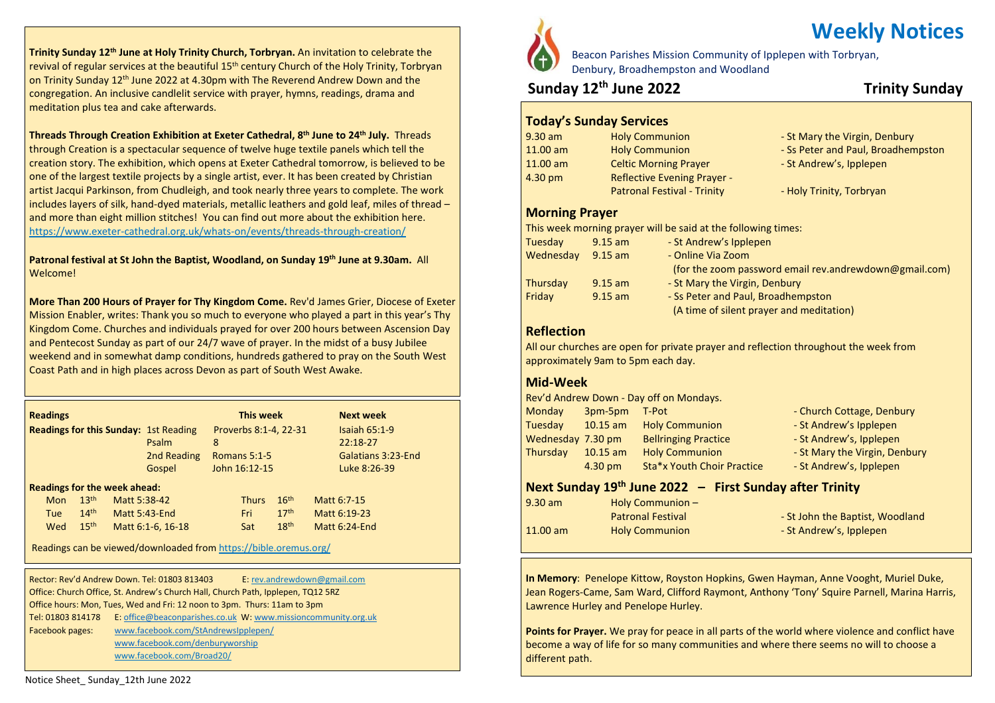**Trinity Sunday 12th June at Holy Trinity Church, Torbryan.** An invitation to celebrate the revival of regular services at the beautiful  $15<sup>th</sup>$  century Church of the Holy Trinity, Torbryan on Trinity Sunday 12th June 2022 at 4.30pm with The Reverend Andrew Down and the congregation. An inclusive candlelit service with prayer, hymns, readings, drama and meditation plus tea and cake afterwards.

**Threads Through Creation Exhibition at Exeter Cathedral, 8 th June to 24th July.** Threads through Creation is a spectacular sequence of twelve huge textile panels which tell the creation story. The exhibition, which opens at Exeter Cathedral tomorrow, is believed to be one of the largest textile projects by a single artist, ever. It has been created by Christian artist Jacqui Parkinson, from Chudleigh, and took nearly three years to complete. The work includes layers of silk, hand-dyed materials, metallic leathers and gold leaf, miles of thread – and more than eight million stitches! You can find out more about the exhibition here. <https://www.exeter-cathedral.org.uk/whats-on/events/threads-through-creation/>

**Patronal festival at St John the Baptist, Woodland, on Sunday 19th June at 9.30am.** All Welcome!

**More Than 200 Hours of Prayer for Thy Kingdom Come.** Rev'd James Grier, Diocese of Exeter Mission Enabler, writes: Thank you so much to everyone who played a part in this year's Thy Kingdom Come. Churches and individuals prayed for over 200 hours between Ascension Day and Pentecost Sunday as part of our 24/7 wave of prayer. In the midst of a busy Jubilee weekend and in somewhat damp conditions, hundreds gathered to pray on the South West Coast Path and in high places across Devon as part of South West Awake.

| <b>Readings</b>                              |                  |              |                      | This week             |                |                  |  | <b>Next week</b>   |
|----------------------------------------------|------------------|--------------|----------------------|-----------------------|----------------|------------------|--|--------------------|
| <b>Readings for this Sunday: 1st Reading</b> |                  |              |                      | Proverbs 8:1-4, 22-31 |                |                  |  | Isaiah $65:1-9$    |
|                                              |                  |              | Psalm                | 8                     |                |                  |  | $22:18-27$         |
|                                              |                  |              | 2nd Reading          |                       | Romans $5:1-5$ |                  |  | Galatians 3:23-End |
|                                              |                  |              | Gospel               |                       | John 16:12-15  |                  |  | Luke 8:26-39       |
| <b>Readings for the week ahead:</b>          |                  |              |                      |                       |                |                  |  |                    |
| <b>Mon</b>                                   | 13 <sup>th</sup> | Matt 5:38-42 |                      |                       | <b>Thurs</b>   | 16 <sup>th</sup> |  | Matt 6:7-15        |
| <b>Tue</b>                                   | 14 <sup>th</sup> |              | <b>Matt 5:43-End</b> |                       | Fri            | 17 <sup>th</sup> |  | Matt 6:19-23       |
| Wed                                          | 15 <sup>th</sup> |              | Matt 6:1-6, 16-18    |                       | Sat            | 18 <sup>th</sup> |  | Matt 6:24-End      |

Readings can be viewed/downloaded from <https://bible.oremus.org/>

Tel: 01803 814178 E: [office@beaconparishes.co.uk](mailto:office@beaconparishes.co.uk) W: [www.missioncommunity.org.uk](http://www.missioncommunity.org.uk/) Rector: Rev'd Andrew Down. Tel: 01803 813403 E: [rev.andrewdown@gmail.com](mailto:rev.andrewdown@gmail.com) Office: Church Office, St. Andrew's Church Hall, Church Path, Ipplepen, TQ12 5RZ Office hours: Mon, Tues, Wed and Fri: 12 noon to 3pm. Thurs: 11am to 3pm Facebook pages: [www.facebook.com/StAndrewsIpplepen/](http://www.facebook.com/StAndrewsIpplepen/) [www.facebook.com/denburyworship](http://www.facebook.com/denburyworship) [www.facebook.com/Broad20/](http://www.facebook.com/Broad20/)



# **Weekly Notices**

Beacon Parishes Mission Community of Ipplepen with Torbryan, Denbury, Broadhempston and Woodland

### **Sunday 12th June 2022 Trinity Sunday**

#### **Today's Sunday Services**

| <b>Holy Communion</b>              | - St Mary the Virgin, Denbury      |
|------------------------------------|------------------------------------|
| <b>Holy Communion</b>              | - Ss Peter and Paul, Broadhempston |
| <b>Celtic Morning Prayer</b>       | - St Andrew's, Ipplepen            |
| <b>Reflective Evening Prayer -</b> |                                    |
| <b>Patronal Festival - Trinity</b> | - Holy Trinity, Torbryan           |
|                                    |                                    |

#### **Morning Prayer**

This week morning prayer will be said at the following times:

| Tuesday   | $9.15$ am | - St Andrew's Ipplepen                                 |
|-----------|-----------|--------------------------------------------------------|
| Wednesday | $9.15$ am | - Online Via Zoom                                      |
|           |           | (for the zoom password email rev.andrewdown@gmail.com) |
| Thursday  | $9.15$ am | - St Mary the Virgin, Denbury                          |
| Friday    | $9.15$ am | - Ss Peter and Paul, Broadhempston                     |
|           |           | (A time of silent prayer and meditation)               |
|           |           |                                                        |

#### **Reflection**

All our churches are open for private prayer and reflection throughout the week from approximately 9am to 5pm each day.

#### **Mid-Week**

|                                                           |            | Rev'd Andrew Down - Day off on Mondays. |                                 |  |  |  |  |
|-----------------------------------------------------------|------------|-----------------------------------------|---------------------------------|--|--|--|--|
| Monday                                                    | 3pm-5pm    | T-Pot                                   | - Church Cottage, Denbury       |  |  |  |  |
| Tuesday                                                   | $10.15$ am | <b>Holy Communion</b>                   | - St Andrew's Ipplepen          |  |  |  |  |
| Wednesday 7.30 pm                                         |            | <b>Bellringing Practice</b>             | - St Andrew's, Ipplepen         |  |  |  |  |
| Thursday                                                  | $10.15$ am | <b>Holy Communion</b>                   | - St Mary the Virgin, Denbury   |  |  |  |  |
|                                                           | 4.30 pm    | Sta*x Youth Choir Practice              | - St Andrew's, Ipplepen         |  |  |  |  |
| Next Sunday $19th$ June 2022 - First Sunday after Trinity |            |                                         |                                 |  |  |  |  |
| $9.30$ am                                                 |            | Holy Communion -                        |                                 |  |  |  |  |
|                                                           |            | <b>Patronal Festival</b>                | - St John the Baptist, Woodland |  |  |  |  |
| $11.00$ am                                                |            | <b>Holy Communion</b>                   | - St Andrew's, Ipplepen         |  |  |  |  |
|                                                           |            |                                         |                                 |  |  |  |  |

**In Memory**: Penelope Kittow, Royston Hopkins, Gwen Hayman, Anne Vooght, Muriel Duke, Jean Rogers-Came, Sam Ward, Clifford Raymont, Anthony 'Tony' Squire Parnell, Marina Harris, Lawrence Hurley and Penelope Hurley.

**Points for Prayer.** We pray for peace in all parts of the world where violence and conflict have become a way of life for so many communities and where there seems no will to choose a different path.